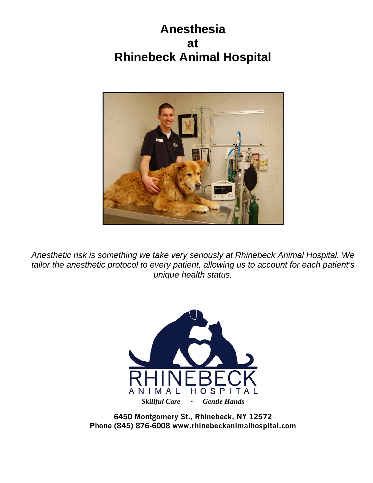**Anesthesia at Rhinebeck Animal Hospital**



*Anesthetic risk is something we take very seriously at Rhinebeck Animal Hospital. We tailor the anesthetic protocol to every patient, allowing us to account for each patient's unique health status.*



**6450 Montgomery St., Rhinebeck, NY 12572 Phone (845) 876-6008 [www.rhinebecka](http://www.rhinebeck/)nimalhospital.com**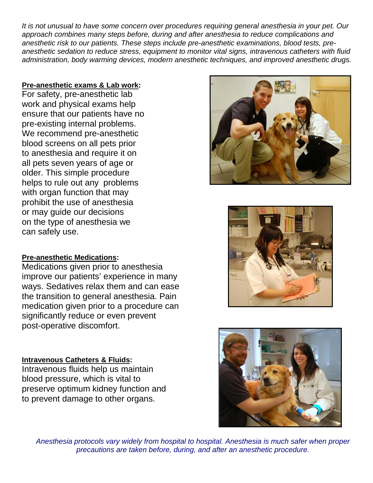*It is not unusual to have some concern over procedures requiring general anesthesia in your pet. Our approach combines many steps before, during and after anesthesia to reduce complications and anesthetic risk to our patients. These steps include pre-anesthetic examinations, blood tests, preanesthetic sedation to reduce stress, equipment to monitor vital signs, intravenous catheters with fluid administration, body warming devices, modern anesthetic techniques, and improved anesthetic drugs.*

# **Pre-anesthetic exams & Lab work:**

For safety, pre-anesthetic lab work and physical exams help ensure that our patients have no pre-existing internal problems. We recommend pre-anesthetic blood screens on all pets prior to anesthesia and require it on all pets seven years of age or older. This simple procedure helps to rule out any problems with organ function that may prohibit the use of anesthesia or may guide our decisions on the type of anesthesia we can safely use.





#### **Pre-anesthetic Medications:**

Medications given prior to anesthesia improve our patients' experience in many ways. Sedatives relax them and can ease the transition to general anesthesia. Pain medication given prior to a procedure can significantly reduce or even prevent post-operative discomfort.

#### **Intravenous Catheters & Fluids:**

Intravenous fluids help us maintain blood pressure, which is vital to preserve optimum kidney function and to prevent damage to other organs.



*Anesthesia protocols vary widely from hospital to hospital. Anesthesia is much safer when proper precautions are taken before, during, and after an anesthetic procedure.*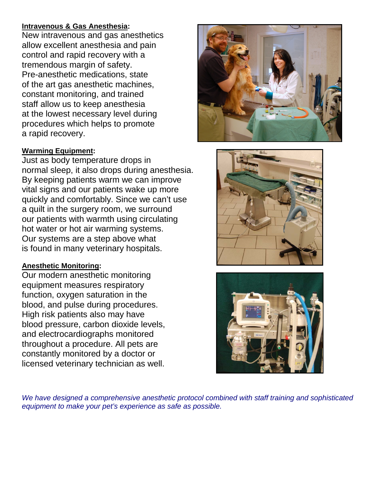## **Intravenous & Gas Anesthesia:**

New intravenous and gas anesthetics allow excellent anesthesia and pain control and rapid recovery with a tremendous margin of safety. Pre-anesthetic medications, state of the art gas anesthetic machines, constant monitoring, and trained staff allow us to keep anesthesia at the lowest necessary level during procedures which helps to promote a rapid recovery.

## **Warming Equipment:**

Just as body temperature drops in normal sleep, it also drops during anesthesia. By keeping patients warm we can improve vital signs and our patients wake up more quickly and comfortably. Since we can't use a quilt in the surgery room, we surround our patients with warmth using circulating hot water or hot air warming systems. Our systems are a step above what is found in many veterinary hospitals.

#### **Anesthetic Monitoring:**

Our modern anesthetic monitoring equipment measures respiratory function, oxygen saturation in the blood, and pulse during procedures. High risk patients also may have blood pressure, carbon dioxide levels, and electrocardiographs monitored throughout a procedure. All pets are constantly monitored by a doctor or licensed veterinary technician as well.







*We have designed a comprehensive anesthetic protocol combined with staff training and sophisticated equipment to make your pet's experience as safe as possible.*